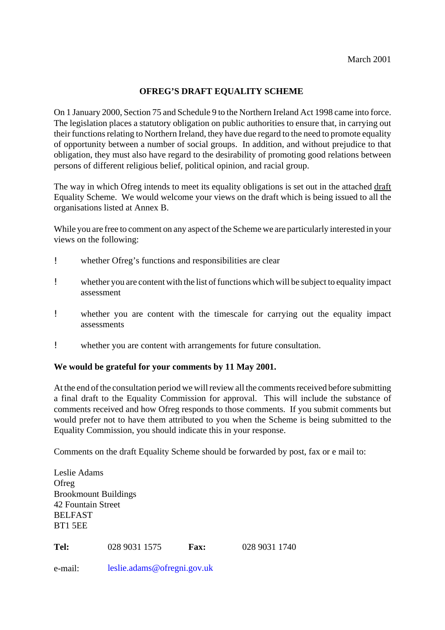## **OFREG'S DRAFT EQUALITY SCHEME**

On 1 January 2000, Section 75 and Schedule 9 to the Northern Ireland Act 1998 came into force. The legislation places a statutory obligation on public authorities to ensure that, in carrying out their functions relating to Northern Ireland, they have due regard to the need to promote equality of opportunity between a number of social groups. In addition, and without prejudice to that obligation, they must also have regard to the desirability of promoting good relations between persons of different religious belief, political opinion, and racial group.

The way in which Ofreg intends to meet its equality obligations is set out in the attached draft Equality Scheme. We would welcome your views on the draft which is being issued to all the organisations listed at Annex B.

While you are free to comment on any aspect of the Scheme we are particularly interested in your views on the following:

- ! whether Ofreg's functions and responsibilities are clear
- ! whether you are content with the list of functions which will be subject to equality impact assessment
- ! whether you are content with the timescale for carrying out the equality impact assessments
- ! whether you are content with arrangements for future consultation.

#### **We would be grateful for your comments by 11 May 2001.**

At the end of the consultation period we will review all the comments received before submitting a final draft to the Equality Commission for approval. This will include the substance of comments received and how Ofreg responds to those comments. If you submit comments but would prefer not to have them attributed to you when the Scheme is being submitted to the Equality Commission, you should indicate this in your response.

Comments on the draft Equality Scheme should be forwarded by post, fax or e mail to:

| Leslie Adams                |               |             |               |  |  |  |
|-----------------------------|---------------|-------------|---------------|--|--|--|
| Ofreg                       |               |             |               |  |  |  |
| <b>Brookmount Buildings</b> |               |             |               |  |  |  |
| 42 Fountain Street          |               |             |               |  |  |  |
| <b>BELFAST</b>              |               |             |               |  |  |  |
| BT1 5EE                     |               |             |               |  |  |  |
| Tel:                        | 028 9031 1575 | <b>Fax:</b> | 028 9031 1740 |  |  |  |

e-mail: leslie.adams@ofregni.gov.uk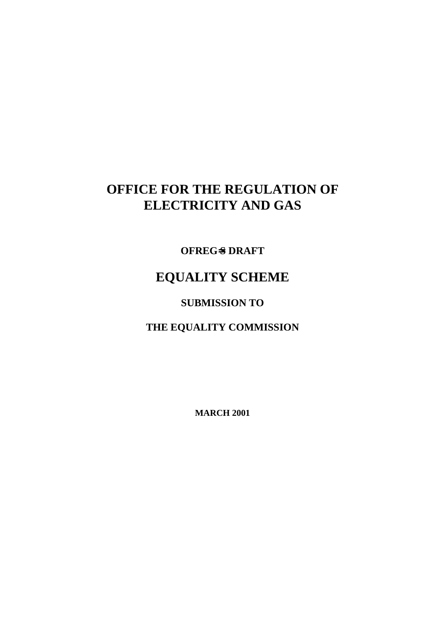# **OFFICE FOR THE REGULATION OF ELECTRICITY AND GAS**

**OFREG**=**S DRAFT**

# **EQUALITY SCHEME**

**SUBMISSION TO**

**THE EQUALITY COMMISSION**

**MARCH 2001**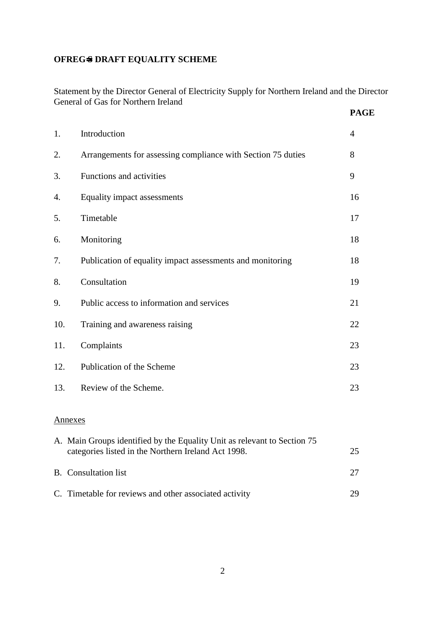## **OFREG**=**S DRAFT EQUALITY SCHEME**

Statement by the Director General of Electricity Supply for Northern Ireland and the Director General of Gas for Northern Ireland **PAGE**

|     |                                                              | 111J           |
|-----|--------------------------------------------------------------|----------------|
| 1.  | Introduction                                                 | $\overline{4}$ |
| 2.  | Arrangements for assessing compliance with Section 75 duties | 8              |
| 3.  | Functions and activities                                     | 9              |
| 4.  | Equality impact assessments                                  | 16             |
| 5.  | Timetable                                                    | 17             |
| 6.  | Monitoring                                                   | 18             |
| 7.  | Publication of equality impact assessments and monitoring    | 18             |
| 8.  | Consultation                                                 | 19             |
| 9.  | Public access to information and services                    | 21             |
| 10. | Training and awareness raising                               | 22             |
| 11. | Complaints                                                   | 23             |
| 12. | Publication of the Scheme                                    | 23             |
| 13. | Review of the Scheme.                                        | 23             |

#### Annexes

| A. Main Groups identified by the Equality Unit as relevant to Section 75<br>categories listed in the Northern Ireland Act 1998. | 25 |
|---------------------------------------------------------------------------------------------------------------------------------|----|
| <b>B.</b> Consultation list                                                                                                     |    |
| C. Timetable for reviews and other associated activity                                                                          | 29 |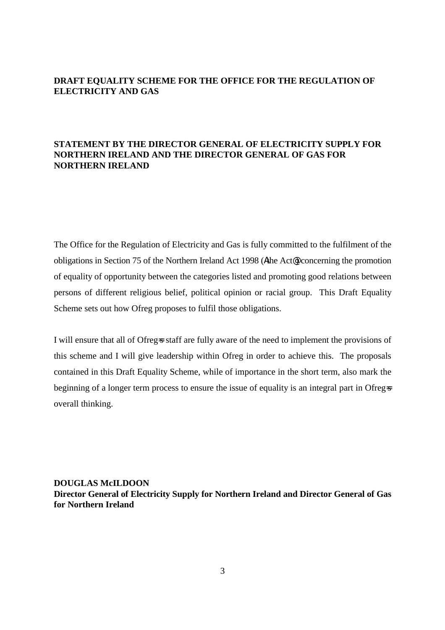## **DRAFT EQUALITY SCHEME FOR THE OFFICE FOR THE REGULATION OF ELECTRICITY AND GAS**

## **STATEMENT BY THE DIRECTOR GENERAL OF ELECTRICITY SUPPLY FOR NORTHERN IRELAND AND THE DIRECTOR GENERAL OF GAS FOR NORTHERN IRELAND**

The Office for the Regulation of Electricity and Gas is fully committed to the fulfilment of the obligations in Section 75 of the Northern Ireland Act 1998 (Athe Act@) concerning the promotion of equality of opportunity between the categories listed and promoting good relations between persons of different religious belief, political opinion or racial group. This Draft Equality Scheme sets out how Ofreg proposes to fulfil those obligations.

I will ensure that all of Ofreg-s staff are fully aware of the need to implement the provisions of this scheme and I will give leadership within Ofreg in order to achieve this. The proposals contained in this Draft Equality Scheme, while of importance in the short term, also mark the beginning of a longer term process to ensure the issue of equality is an integral part in Ofreg=s overall thinking.

**DOUGLAS McILDOON Director General of Electricity Supply for Northern Ireland and Director General of Gas for Northern Ireland**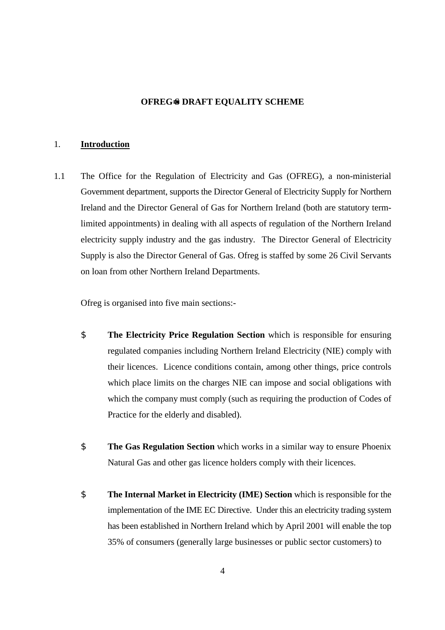#### **OFREG**=**S DRAFT EQUALITY SCHEME**

#### 1. **Introduction**

1.1 The Office for the Regulation of Electricity and Gas (OFREG), a non-ministerial Government department, supports the Director General of Electricity Supply for Northern Ireland and the Director General of Gas for Northern Ireland (both are statutory termlimited appointments) in dealing with all aspects of regulation of the Northern Ireland electricity supply industry and the gas industry. The Director General of Electricity Supply is also the Director General of Gas. Ofreg is staffed by some 26 Civil Servants on loan from other Northern Ireland Departments.

Ofreg is organised into five main sections:-

- \$ **The Electricity Price Regulation Section** which is responsible for ensuring regulated companies including Northern Ireland Electricity (NIE) comply with their licences. Licence conditions contain, among other things, price controls which place limits on the charges NIE can impose and social obligations with which the company must comply (such as requiring the production of Codes of Practice for the elderly and disabled).
- \$ **The Gas Regulation Section** which works in a similar way to ensure Phoenix Natural Gas and other gas licence holders comply with their licences.
- \$ **The Internal Market in Electricity (IME) Section** which is responsible for the implementation of the IME EC Directive. Under this an electricity trading system has been established in Northern Ireland which by April 2001 will enable the top 35% of consumers (generally large businesses or public sector customers) to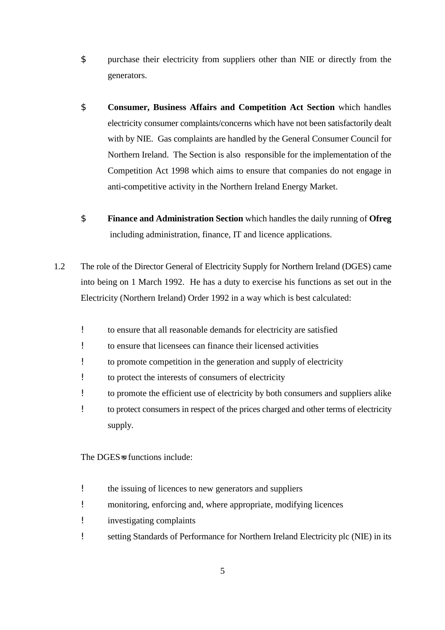- \$ purchase their electricity from suppliers other than NIE or directly from the generators.
- \$ **Consumer, Business Affairs and Competition Act Section** which handles electricity consumer complaints/concerns which have not been satisfactorily dealt with by NIE. Gas complaints are handled by the General Consumer Council for Northern Ireland. The Section is also responsible for the implementation of the Competition Act 1998 which aims to ensure that companies do not engage in anti-competitive activity in the Northern Ireland Energy Market.
- \$ **Finance and Administration Section** which handles the daily running of **Ofreg** including administration, finance, IT and licence applications.
- 1.2 The role of the Director General of Electricity Supply for Northern Ireland (DGES) came into being on 1 March 1992. He has a duty to exercise his functions as set out in the Electricity (Northern Ireland) Order 1992 in a way which is best calculated:
	- ! to ensure that all reasonable demands for electricity are satisfied
	- ! to ensure that licensees can finance their licensed activities
	- ! to promote competition in the generation and supply of electricity
	- ! to protect the interests of consumers of electricity
	- ! to promote the efficient use of electricity by both consumers and suppliers alike
	- ! to protect consumers in respect of the prices charged and other terms of electricity supply.

The DGES=s functions include:

- ! the issuing of licences to new generators and suppliers
- ! monitoring, enforcing and, where appropriate, modifying licences
- ! investigating complaints
- ! setting Standards of Performance for Northern Ireland Electricity plc (NIE) in its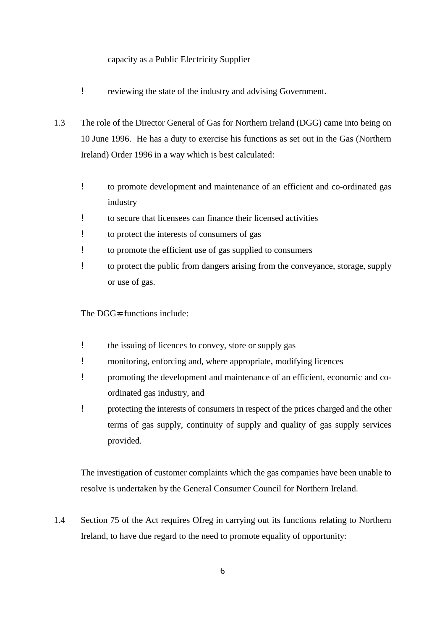#### capacity as a Public Electricity Supplier

- ! reviewing the state of the industry and advising Government.
- 1.3 The role of the Director General of Gas for Northern Ireland (DGG) came into being on 10 June 1996. He has a duty to exercise his functions as set out in the Gas (Northern Ireland) Order 1996 in a way which is best calculated:
	- ! to promote development and maintenance of an efficient and co-ordinated gas industry
	- ! to secure that licensees can finance their licensed activities
	- ! to protect the interests of consumers of gas
	- ! to promote the efficient use of gas supplied to consumers
	- ! to protect the public from dangers arising from the conveyance, storage, supply or use of gas.

The DGG=s functions include:

- ! the issuing of licences to convey, store or supply gas
- ! monitoring, enforcing and, where appropriate, modifying licences
- ! promoting the development and maintenance of an efficient, economic and coordinated gas industry, and
- ! protecting the interests of consumers in respect of the prices charged and the other terms of gas supply, continuity of supply and quality of gas supply services provided.

The investigation of customer complaints which the gas companies have been unable to resolve is undertaken by the General Consumer Council for Northern Ireland.

1.4 Section 75 of the Act requires Ofreg in carrying out its functions relating to Northern Ireland, to have due regard to the need to promote equality of opportunity: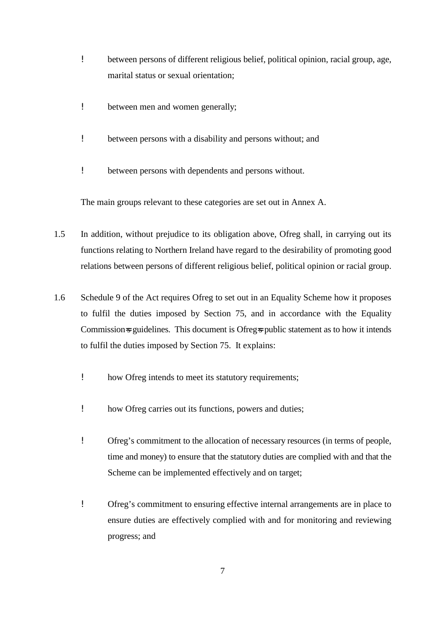- ! between persons of different religious belief, political opinion, racial group, age, marital status or sexual orientation;
- ! between men and women generally;
- ! between persons with a disability and persons without; and
- ! between persons with dependents and persons without.

The main groups relevant to these categories are set out in Annex A.

- 1.5 In addition, without prejudice to its obligation above, Ofreg shall, in carrying out its functions relating to Northern Ireland have regard to the desirability of promoting good relations between persons of different religious belief, political opinion or racial group.
- 1.6 Schedule 9 of the Act requires Ofreg to set out in an Equality Scheme how it proposes to fulfil the duties imposed by Section 75, and in accordance with the Equality Commission-s guidelines. This document is Ofreg-s public statement as to how it intends to fulfil the duties imposed by Section 75. It explains:
	- ! how Ofreg intends to meet its statutory requirements;
	- ! how Ofreg carries out its functions, powers and duties;
	- ! Ofreg's commitment to the allocation of necessary resources (in terms of people, time and money) to ensure that the statutory duties are complied with and that the Scheme can be implemented effectively and on target;
	- ! Ofreg's commitment to ensuring effective internal arrangements are in place to ensure duties are effectively complied with and for monitoring and reviewing progress; and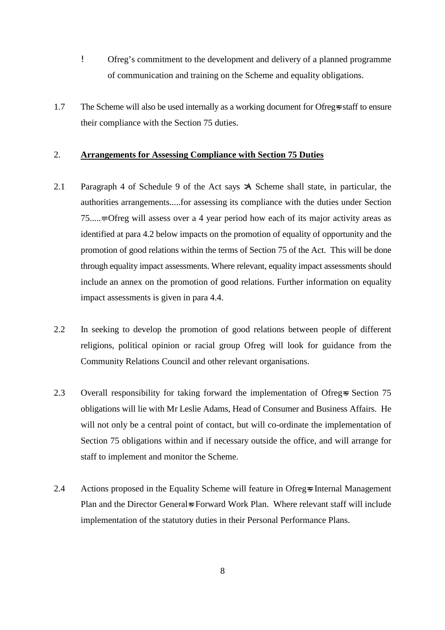- ! Ofreg's commitment to the development and delivery of a planned programme of communication and training on the Scheme and equality obligations.
- 1.7 The Scheme will also be used internally as a working document for Ofreg=s staff to ensure their compliance with the Section 75 duties.

#### 2. **Arrangements for Assessing Compliance with Section 75 Duties**

- 2.1 Paragraph 4 of Schedule 9 of the Act says >A Scheme shall state, in particular, the authorities arrangements.....for assessing its compliance with the duties under Section 75.....=. Ofreg will assess over a 4 year period how each of its major activity areas as identified at para 4.2 below impacts on the promotion of equality of opportunity and the promotion of good relations within the terms of Section 75 of the Act. This will be done through equality impact assessments. Where relevant, equality impact assessments should include an annex on the promotion of good relations. Further information on equality impact assessments is given in para 4.4.
- 2.2 In seeking to develop the promotion of good relations between people of different religions, political opinion or racial group Ofreg will look for guidance from the Community Relations Council and other relevant organisations.
- 2.3 Overall responsibility for taking forward the implementation of Ofreg-s Section 75 obligations will lie with Mr Leslie Adams, Head of Consumer and Business Affairs. He will not only be a central point of contact, but will co-ordinate the implementation of Section 75 obligations within and if necessary outside the office, and will arrange for staff to implement and monitor the Scheme.
- 2.4 Actions proposed in the Equality Scheme will feature in Ofreg internal Management Plan and the Director General-s Forward Work Plan. Where relevant staff will include implementation of the statutory duties in their Personal Performance Plans.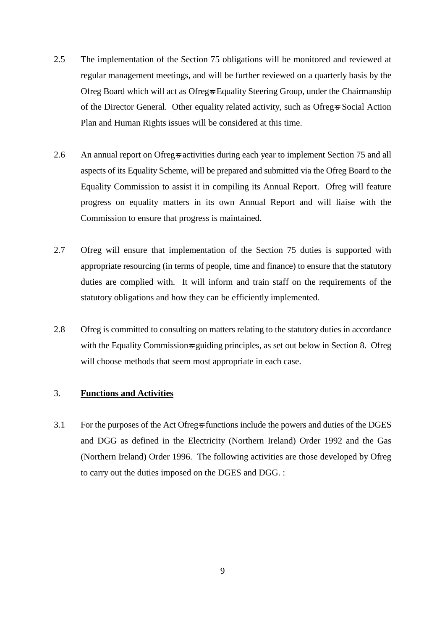- 2.5 The implementation of the Section 75 obligations will be monitored and reviewed at regular management meetings, and will be further reviewed on a quarterly basis by the Ofreg Board which will act as Ofreg-s Equality Steering Group, under the Chairmanship of the Director General. Other equality related activity, such as Ofreg=s Social Action Plan and Human Rights issues will be considered at this time.
- 2.6 An annual report on Ofreg-s activities during each year to implement Section 75 and all aspects of its Equality Scheme, will be prepared and submitted via the Ofreg Board to the Equality Commission to assist it in compiling its Annual Report. Ofreg will feature progress on equality matters in its own Annual Report and will liaise with the Commission to ensure that progress is maintained.
- 2.7 Ofreg will ensure that implementation of the Section 75 duties is supported with appropriate resourcing (in terms of people, time and finance) to ensure that the statutory duties are complied with. It will inform and train staff on the requirements of the statutory obligations and how they can be efficiently implemented.
- 2.8 Ofreg is committed to consulting on matters relating to the statutory duties in accordance with the Equality Commission=s guiding principles, as set out below in Section 8. Ofreg will choose methods that seem most appropriate in each case.

#### 3. **Functions and Activities**

3.1 For the purposes of the Act Ofreg-s functions include the powers and duties of the DGES and DGG as defined in the Electricity (Northern Ireland) Order 1992 and the Gas (Northern Ireland) Order 1996. The following activities are those developed by Ofreg to carry out the duties imposed on the DGES and DGG. :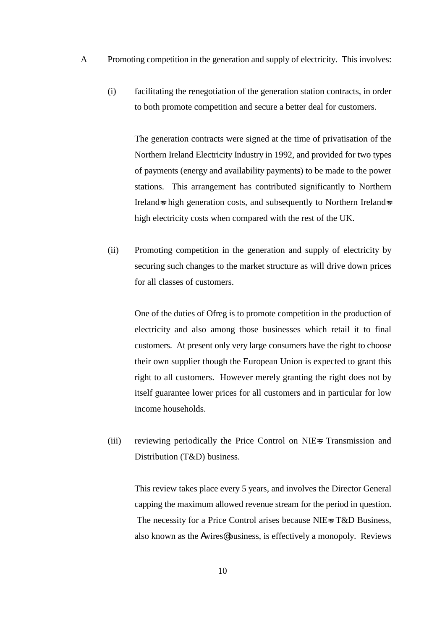- A Promoting competition in the generation and supply of electricity. This involves:
	- (i) facilitating the renegotiation of the generation station contracts, in order to both promote competition and secure a better deal for customers.

The generation contracts were signed at the time of privatisation of the Northern Ireland Electricity Industry in 1992, and provided for two types of payments (energy and availability payments) to be made to the power stations. This arrangement has contributed significantly to Northern Ireland=s high generation costs, and subsequently to Northern Ireland=s high electricity costs when compared with the rest of the UK.

(ii) Promoting competition in the generation and supply of electricity by securing such changes to the market structure as will drive down prices for all classes of customers.

One of the duties of Ofreg is to promote competition in the production of electricity and also among those businesses which retail it to final customers. At present only very large consumers have the right to choose their own supplier though the European Union is expected to grant this right to all customers. However merely granting the right does not by itself guarantee lower prices for all customers and in particular for low income households.

(iii) reviewing periodically the Price Control on NIE=s Transmission and Distribution (T&D) business.

This review takes place every 5 years, and involves the Director General capping the maximum allowed revenue stream for the period in question. The necessity for a Price Control arises because NIE=s T&D Business, also known as the Awires@ business, is effectively a monopoly. Reviews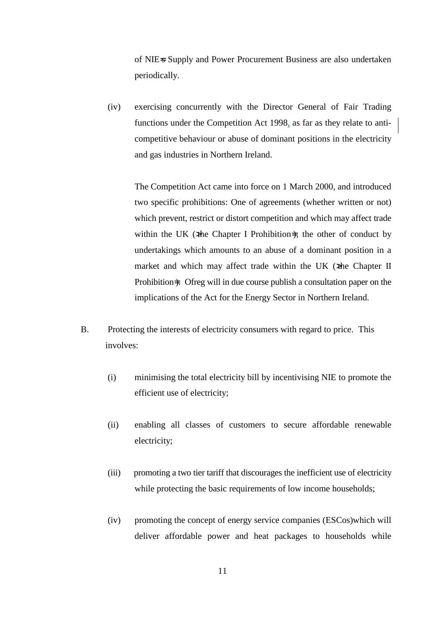of NIE=s Supply and Power Procurement Business are also undertaken periodically.

(iv) exercising concurrently with the Director General of Fair Trading functions under the Competition Act 1998, as far as they relate to anticompetitive behaviour or abuse of dominant positions in the electricity and gas industries in Northern Ireland.

The Competition Act came into force on 1 March 2000, and introduced two specific prohibitions: One of agreements (whether written or not) which prevent, restrict or distort competition and which may affect trade within the UK ( $x$ the Chapter I Prohibition=); the other of conduct by undertakings which amounts to an abuse of a dominant position in a market and which may affect trade within the UK (\*he Chapter II Prohibition=). Ofreg will in due course publish a consultation paper on the implications of the Act for the Energy Sector in Northern Ireland.

- B. Protecting the interests of electricity consumers with regard to price. This involves:
	- (i) minimising the total electricity bill by incentivising NIE to promote the efficient use of electricity;
	- (ii) enabling all classes of customers to secure affordable renewable electricity;
	- (iii) promoting a two tier tariff that discourages the inefficient use of electricity while protecting the basic requirements of low income households;
	- (iv) promoting the concept of energy service companies (ESCos)which will deliver affordable power and heat packages to households while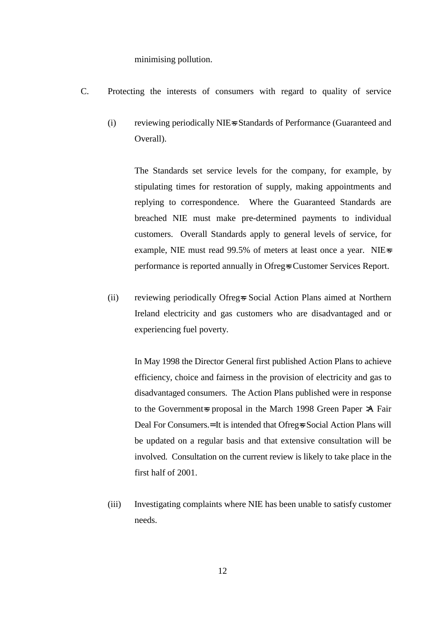minimising pollution.

- C. Protecting the interests of consumers with regard to quality of service
	- (i) reviewing periodically NIE=s Standards of Performance (Guaranteed and Overall).

The Standards set service levels for the company, for example, by stipulating times for restoration of supply, making appointments and replying to correspondence. Where the Guaranteed Standards are breached NIE must make pre-determined payments to individual customers. Overall Standards apply to general levels of service, for example, NIE must read 99.5% of meters at least once a year. NIE=s performance is reported annually in Ofreg=s Customer Services Report.

(ii) reviewing periodically Ofreg=s Social Action Plans aimed at Northern Ireland electricity and gas customers who are disadvantaged and or experiencing fuel poverty.

In May 1998 the Director General first published Action Plans to achieve efficiency, choice and fairness in the provision of electricity and gas to disadvantaged consumers. The Action Plans published were in response to the Government-s proposal in the March 1998 Green Paper >A Fair Deal For Consumers.= It is intended that Ofreg=s Social Action Plans will be updated on a regular basis and that extensive consultation will be involved. Consultation on the current review is likely to take place in the first half of 2001.

(iii) Investigating complaints where NIE has been unable to satisfy customer needs.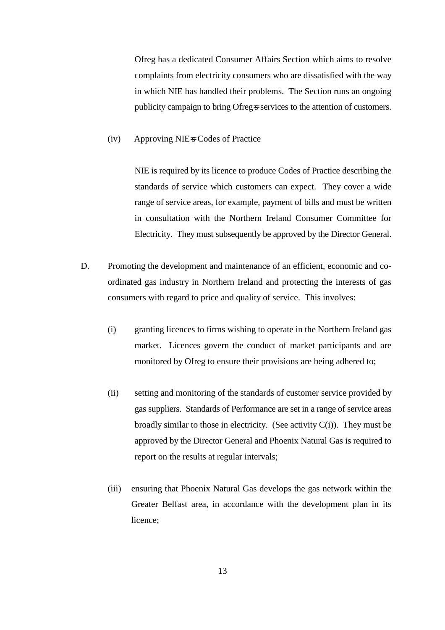Ofreg has a dedicated Consumer Affairs Section which aims to resolve complaints from electricity consumers who are dissatisfied with the way in which NIE has handled their problems. The Section runs an ongoing publicity campaign to bring Ofreg=s services to the attention of customers.

#### (iv) Approving NIE=s Codes of Practice

NIE is required by its licence to produce Codes of Practice describing the standards of service which customers can expect. They cover a wide range of service areas, for example, payment of bills and must be written in consultation with the Northern Ireland Consumer Committee for Electricity. They must subsequently be approved by the Director General.

- D. Promoting the development and maintenance of an efficient, economic and coordinated gas industry in Northern Ireland and protecting the interests of gas consumers with regard to price and quality of service. This involves:
	- (i) granting licences to firms wishing to operate in the Northern Ireland gas market. Licences govern the conduct of market participants and are monitored by Ofreg to ensure their provisions are being adhered to;
	- (ii) setting and monitoring of the standards of customer service provided by gas suppliers. Standards of Performance are set in a range of service areas broadly similar to those in electricity. (See activity  $C(i)$ ). They must be approved by the Director General and Phoenix Natural Gas is required to report on the results at regular intervals;
	- (iii) ensuring that Phoenix Natural Gas develops the gas network within the Greater Belfast area, in accordance with the development plan in its licence;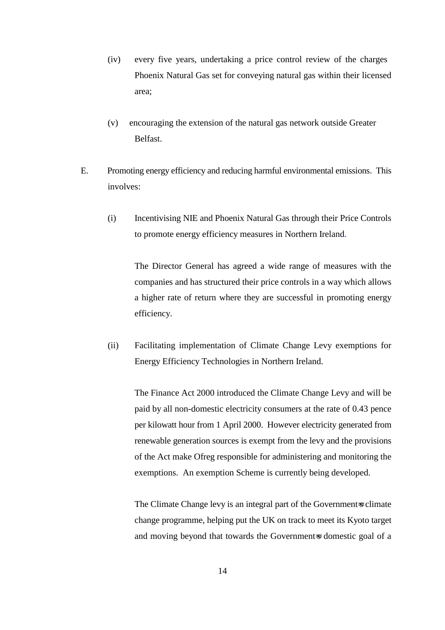- (iv) every five years, undertaking a price control review of the charges Phoenix Natural Gas set for conveying natural gas within their licensed area;
- (v) encouraging the extension of the natural gas network outside Greater Belfast.
- E. Promoting energy efficiency and reducing harmful environmental emissions. This involves:
	- (i) Incentivising NIE and Phoenix Natural Gas through their Price Controls to promote energy efficiency measures in Northern Ireland.

The Director General has agreed a wide range of measures with the companies and has structured their price controls in a way which allows a higher rate of return where they are successful in promoting energy efficiency.

(ii) Facilitating implementation of Climate Change Levy exemptions for Energy Efficiency Technologies in Northern Ireland.

The Finance Act 2000 introduced the Climate Change Levy and will be paid by all non-domestic electricity consumers at the rate of 0.43 pence per kilowatt hour from 1 April 2000. However electricity generated from renewable generation sources is exempt from the levy and the provisions of the Act make Ofreg responsible for administering and monitoring the exemptions. An exemption Scheme is currently being developed.

The Climate Change levy is an integral part of the Government-s climate change programme, helping put the UK on track to meet its Kyoto target and moving beyond that towards the Government-s domestic goal of a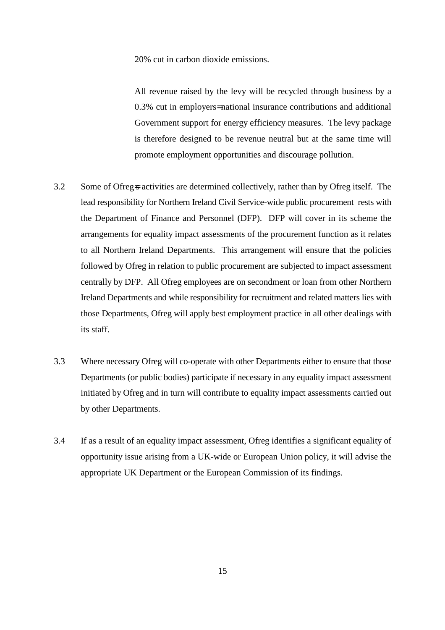20% cut in carbon dioxide emissions.

All revenue raised by the levy will be recycled through business by a 0.3% cut in employers= national insurance contributions and additional Government support for energy efficiency measures. The levy package is therefore designed to be revenue neutral but at the same time will promote employment opportunities and discourage pollution.

- 3.2 Some of Ofreg=s activities are determined collectively, rather than by Ofreg itself. The lead responsibility for Northern Ireland Civil Service-wide public procurement rests with the Department of Finance and Personnel (DFP). DFP will cover in its scheme the arrangements for equality impact assessments of the procurement function as it relates to all Northern Ireland Departments. This arrangement will ensure that the policies followed by Ofreg in relation to public procurement are subjected to impact assessment centrally by DFP. All Ofreg employees are on secondment or loan from other Northern Ireland Departments and while responsibility for recruitment and related matters lies with those Departments, Ofreg will apply best employment practice in all other dealings with its staff.
- 3.3 Where necessary Ofreg will co-operate with other Departments either to ensure that those Departments (or public bodies) participate if necessary in any equality impact assessment initiated by Ofreg and in turn will contribute to equality impact assessments carried out by other Departments.
- 3.4 If as a result of an equality impact assessment, Ofreg identifies a significant equality of opportunity issue arising from a UK-wide or European Union policy, it will advise the appropriate UK Department or the European Commission of its findings.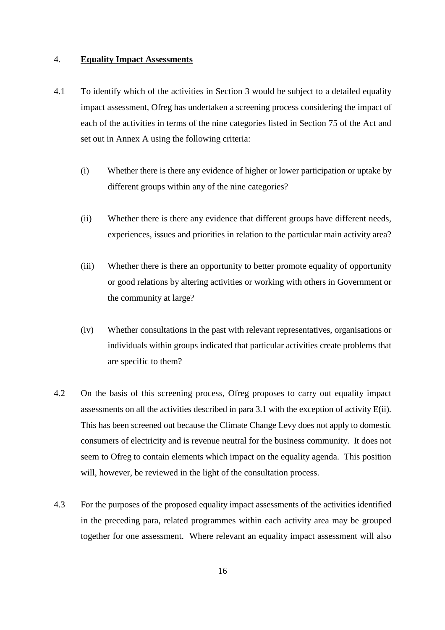#### 4. **Equality Impact Assessments**

- 4.1 To identify which of the activities in Section 3 would be subject to a detailed equality impact assessment, Ofreg has undertaken a screening process considering the impact of each of the activities in terms of the nine categories listed in Section 75 of the Act and set out in Annex A using the following criteria:
	- (i) Whether there is there any evidence of higher or lower participation or uptake by different groups within any of the nine categories?
	- (ii) Whether there is there any evidence that different groups have different needs, experiences, issues and priorities in relation to the particular main activity area?
	- (iii) Whether there is there an opportunity to better promote equality of opportunity or good relations by altering activities or working with others in Government or the community at large?
	- (iv) Whether consultations in the past with relevant representatives, organisations or individuals within groups indicated that particular activities create problems that are specific to them?
- 4.2 On the basis of this screening process, Ofreg proposes to carry out equality impact assessments on all the activities described in para 3.1 with the exception of activity E(ii). This has been screened out because the Climate Change Levy does not apply to domestic consumers of electricity and is revenue neutral for the business community. It does not seem to Ofreg to contain elements which impact on the equality agenda. This position will, however, be reviewed in the light of the consultation process.
- 4.3 For the purposes of the proposed equality impact assessments of the activities identified in the preceding para, related programmes within each activity area may be grouped together for one assessment. Where relevant an equality impact assessment will also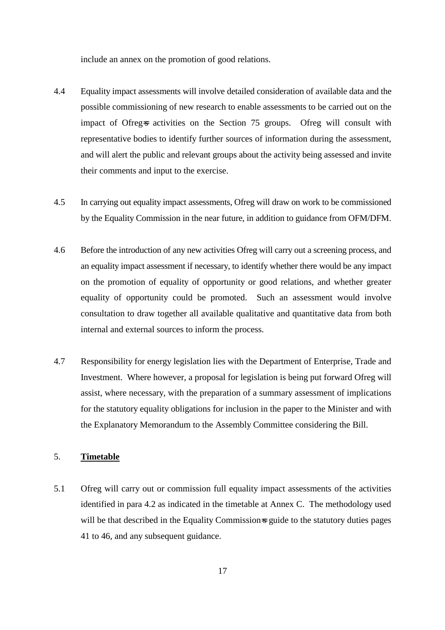include an annex on the promotion of good relations.

- 4.4 Equality impact assessments will involve detailed consideration of available data and the possible commissioning of new research to enable assessments to be carried out on the impact of Ofreg-s activities on the Section 75 groups. Ofreg will consult with representative bodies to identify further sources of information during the assessment, and will alert the public and relevant groups about the activity being assessed and invite their comments and input to the exercise.
- 4.5 In carrying out equality impact assessments, Ofreg will draw on work to be commissioned by the Equality Commission in the near future, in addition to guidance from OFM/DFM.
- 4.6 Before the introduction of any new activities Ofreg will carry out a screening process, and an equality impact assessment if necessary, to identify whether there would be any impact on the promotion of equality of opportunity or good relations, and whether greater equality of opportunity could be promoted. Such an assessment would involve consultation to draw together all available qualitative and quantitative data from both internal and external sources to inform the process.
- 4.7 Responsibility for energy legislation lies with the Department of Enterprise, Trade and Investment. Where however, a proposal for legislation is being put forward Ofreg will assist, where necessary, with the preparation of a summary assessment of implications for the statutory equality obligations for inclusion in the paper to the Minister and with the Explanatory Memorandum to the Assembly Committee considering the Bill.

## 5. **Timetable**

5.1 Ofreg will carry out or commission full equality impact assessments of the activities identified in para 4.2 as indicated in the timetable at Annex C. The methodology used will be that described in the Equality Commission-s guide to the statutory duties pages 41 to 46, and any subsequent guidance.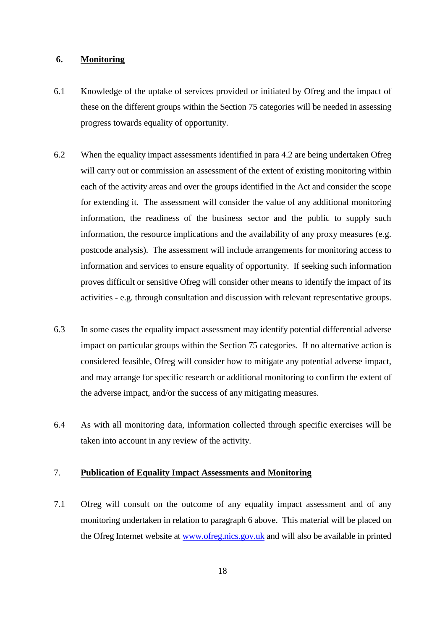#### **6. Monitoring**

- 6.1 Knowledge of the uptake of services provided or initiated by Ofreg and the impact of these on the different groups within the Section 75 categories will be needed in assessing progress towards equality of opportunity.
- 6.2 When the equality impact assessments identified in para 4.2 are being undertaken Ofreg will carry out or commission an assessment of the extent of existing monitoring within each of the activity areas and over the groups identified in the Act and consider the scope for extending it. The assessment will consider the value of any additional monitoring information, the readiness of the business sector and the public to supply such information, the resource implications and the availability of any proxy measures (e.g. postcode analysis). The assessment will include arrangements for monitoring access to information and services to ensure equality of opportunity. If seeking such information proves difficult or sensitive Ofreg will consider other means to identify the impact of its activities - e.g. through consultation and discussion with relevant representative groups.
- 6.3 In some cases the equality impact assessment may identify potential differential adverse impact on particular groups within the Section 75 categories. If no alternative action is considered feasible, Ofreg will consider how to mitigate any potential adverse impact, and may arrange for specific research or additional monitoring to confirm the extent of the adverse impact, and/or the success of any mitigating measures.
- 6.4 As with all monitoring data, information collected through specific exercises will be taken into account in any review of the activity.

#### 7. **Publication of Equality Impact Assessments and Monitoring**

7.1 Ofreg will consult on the outcome of any equality impact assessment and of any monitoring undertaken in relation to paragraph 6 above. This material will be placed on the Ofreg Internet website at www.ofreg.nics.gov.uk and will also be available in printed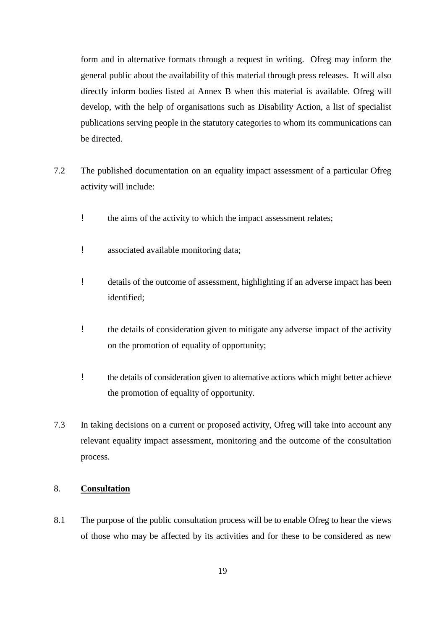form and in alternative formats through a request in writing. Ofreg may inform the general public about the availability of this material through press releases. It will also directly inform bodies listed at Annex B when this material is available. Ofreg will develop, with the help of organisations such as Disability Action, a list of specialist publications serving people in the statutory categories to whom its communications can be directed.

- 7.2 The published documentation on an equality impact assessment of a particular Ofreg activity will include:
	- ! the aims of the activity to which the impact assessment relates;
	- ! associated available monitoring data;
	- ! details of the outcome of assessment, highlighting if an adverse impact has been identified;
	- ! the details of consideration given to mitigate any adverse impact of the activity on the promotion of equality of opportunity;
	- ! the details of consideration given to alternative actions which might better achieve the promotion of equality of opportunity.
- 7.3 In taking decisions on a current or proposed activity, Ofreg will take into account any relevant equality impact assessment, monitoring and the outcome of the consultation process.

## 8. **Consultation**

8.1 The purpose of the public consultation process will be to enable Ofreg to hear the views of those who may be affected by its activities and for these to be considered as new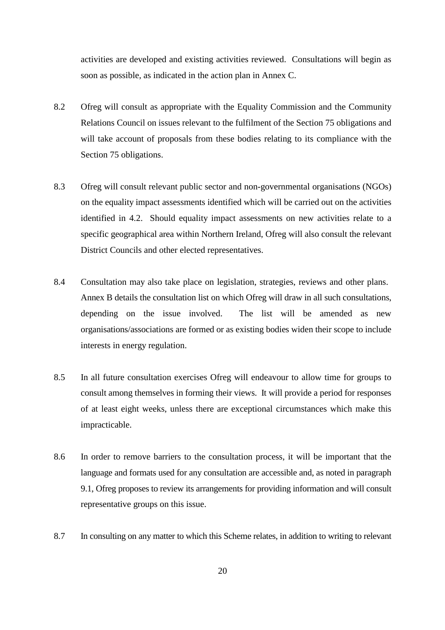activities are developed and existing activities reviewed. Consultations will begin as soon as possible, as indicated in the action plan in Annex C.

- 8.2 Ofreg will consult as appropriate with the Equality Commission and the Community Relations Council on issues relevant to the fulfilment of the Section 75 obligations and will take account of proposals from these bodies relating to its compliance with the Section 75 obligations.
- 8.3 Ofreg will consult relevant public sector and non-governmental organisations (NGOs) on the equality impact assessments identified which will be carried out on the activities identified in 4.2. Should equality impact assessments on new activities relate to a specific geographical area within Northern Ireland, Ofreg will also consult the relevant District Councils and other elected representatives.
- 8.4 Consultation may also take place on legislation, strategies, reviews and other plans. Annex B details the consultation list on which Ofreg will draw in all such consultations, depending on the issue involved. The list will be amended as new organisations/associations are formed or as existing bodies widen their scope to include interests in energy regulation.
- 8.5 In all future consultation exercises Ofreg will endeavour to allow time for groups to consult among themselves in forming their views. It will provide a period for responses of at least eight weeks, unless there are exceptional circumstances which make this impracticable.
- 8.6 In order to remove barriers to the consultation process, it will be important that the language and formats used for any consultation are accessible and, as noted in paragraph 9.1, Ofreg proposes to review its arrangements for providing information and will consult representative groups on this issue.
- 8.7 In consulting on any matter to which this Scheme relates, in addition to writing to relevant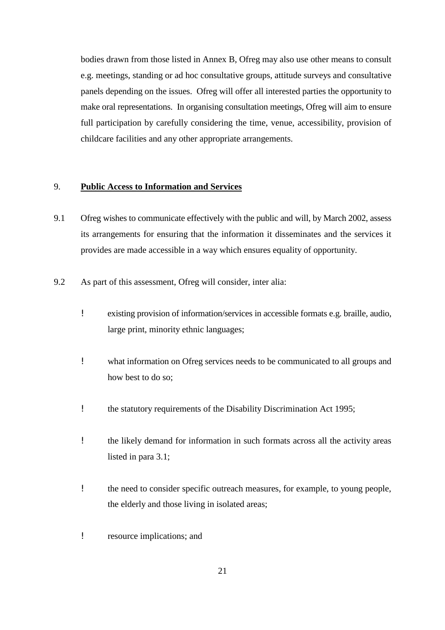bodies drawn from those listed in Annex B, Ofreg may also use other means to consult e.g. meetings, standing or ad hoc consultative groups, attitude surveys and consultative panels depending on the issues. Ofreg will offer all interested parties the opportunity to make oral representations. In organising consultation meetings, Ofreg will aim to ensure full participation by carefully considering the time, venue, accessibility, provision of childcare facilities and any other appropriate arrangements.

## 9. **Public Access to Information and Services**

- 9.1 Ofreg wishes to communicate effectively with the public and will, by March 2002, assess its arrangements for ensuring that the information it disseminates and the services it provides are made accessible in a way which ensures equality of opportunity.
- 9.2 As part of this assessment, Ofreg will consider, inter alia:
	- ! existing provision of information/services in accessible formats e.g. braille, audio, large print, minority ethnic languages;
	- ! what information on Ofreg services needs to be communicated to all groups and how best to do so;
	- ! the statutory requirements of the Disability Discrimination Act 1995;
	- ! the likely demand for information in such formats across all the activity areas listed in para 3.1;
	- ! the need to consider specific outreach measures, for example, to young people, the elderly and those living in isolated areas;
	- ! resource implications; and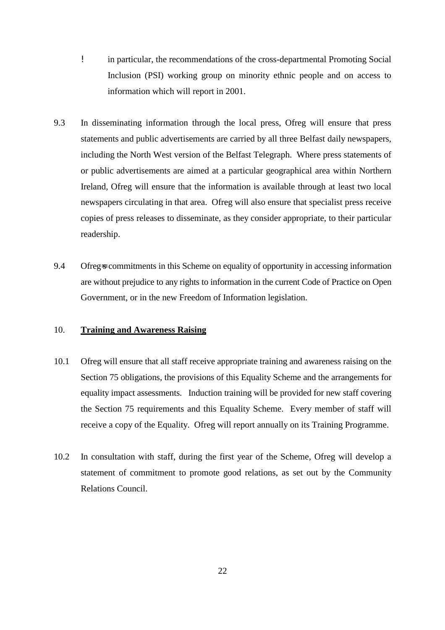- ! in particular, the recommendations of the cross-departmental Promoting Social Inclusion (PSI) working group on minority ethnic people and on access to information which will report in 2001.
- 9.3 In disseminating information through the local press, Ofreg will ensure that press statements and public advertisements are carried by all three Belfast daily newspapers, including the North West version of the Belfast Telegraph. Where press statements of or public advertisements are aimed at a particular geographical area within Northern Ireland, Ofreg will ensure that the information is available through at least two local newspapers circulating in that area. Ofreg will also ensure that specialist press receive copies of press releases to disseminate, as they consider appropriate, to their particular readership.
- 9.4 Ofreg-s commitments in this Scheme on equality of opportunity in accessing information are without prejudice to any rights to information in the current Code of Practice on Open Government, or in the new Freedom of Information legislation.

#### 10. **Training and Awareness Raising**

- 10.1 Ofreg will ensure that all staff receive appropriate training and awareness raising on the Section 75 obligations, the provisions of this Equality Scheme and the arrangements for equality impact assessments. Induction training will be provided for new staff covering the Section 75 requirements and this Equality Scheme. Every member of staff will receive a copy of the Equality. Ofreg will report annually on its Training Programme.
- 10.2 In consultation with staff, during the first year of the Scheme, Ofreg will develop a statement of commitment to promote good relations, as set out by the Community Relations Council.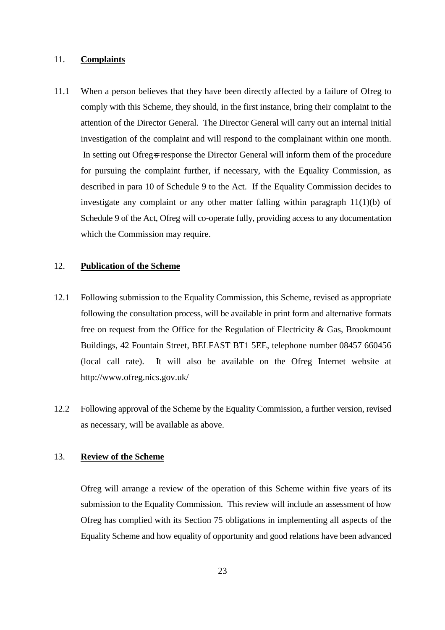#### 11. **Complaints**

11.1 When a person believes that they have been directly affected by a failure of Ofreg to comply with this Scheme, they should, in the first instance, bring their complaint to the attention of the Director General. The Director General will carry out an internal initial investigation of the complaint and will respond to the complainant within one month. In setting out Ofreg=s response the Director General will inform them of the procedure for pursuing the complaint further, if necessary, with the Equality Commission, as described in para 10 of Schedule 9 to the Act. If the Equality Commission decides to investigate any complaint or any other matter falling within paragraph 11(1)(b) of Schedule 9 of the Act, Ofreg will co-operate fully, providing access to any documentation which the Commission may require.

#### 12. **Publication of the Scheme**

- 12.1 Following submission to the Equality Commission, this Scheme, revised as appropriate following the consultation process, will be available in print form and alternative formats free on request from the Office for the Regulation of Electricity & Gas, Brookmount Buildings, 42 Fountain Street, BELFAST BT1 5EE, telephone number 08457 660456 (local call rate). It will also be available on the Ofreg Internet website at http://www.ofreg.nics.gov.uk/
- 12.2 Following approval of the Scheme by the Equality Commission, a further version, revised as necessary, will be available as above.

## 13. **Review of the Scheme**

Ofreg will arrange a review of the operation of this Scheme within five years of its submission to the Equality Commission. This review will include an assessment of how Ofreg has complied with its Section 75 obligations in implementing all aspects of the Equality Scheme and how equality of opportunity and good relations have been advanced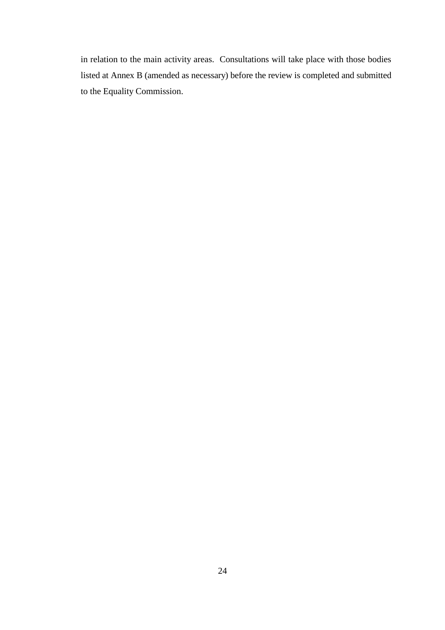in relation to the main activity areas. Consultations will take place with those bodies listed at Annex B (amended as necessary) before the review is completed and submitted to the Equality Commission.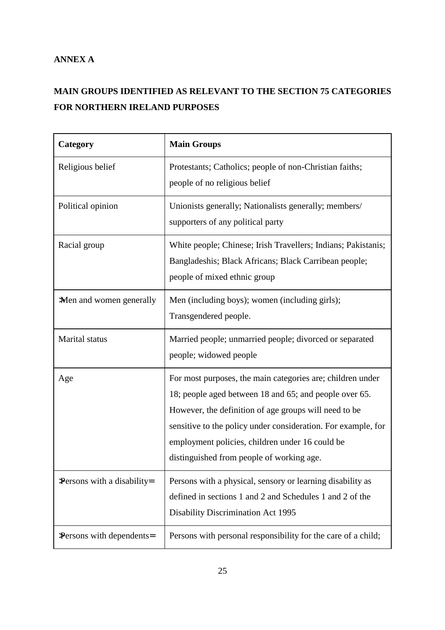## **ANNEX A**

## **MAIN GROUPS IDENTIFIED AS RELEVANT TO THE SECTION 75 CATEGORIES FOR NORTHERN IRELAND PURPOSES**

| Category                    | <b>Main Groups</b>                                                                                                                                                                                                                                                                                                                             |
|-----------------------------|------------------------------------------------------------------------------------------------------------------------------------------------------------------------------------------------------------------------------------------------------------------------------------------------------------------------------------------------|
| Religious belief            | Protestants; Catholics; people of non-Christian faiths;<br>people of no religious belief                                                                                                                                                                                                                                                       |
| Political opinion           | Unionists generally; Nationalists generally; members/<br>supporters of any political party                                                                                                                                                                                                                                                     |
| Racial group                | White people; Chinese; Irish Travellers; Indians; Pakistanis;<br>Bangladeshis; Black Africans; Black Carribean people;<br>people of mixed ethnic group                                                                                                                                                                                         |
| >Men and women generally    | Men (including boys); women (including girls);<br>Transgendered people.                                                                                                                                                                                                                                                                        |
| Marital status              | Married people; unmarried people; divorced or separated<br>people; widowed people                                                                                                                                                                                                                                                              |
| Age                         | For most purposes, the main categories are; children under<br>18; people aged between 18 and 65; and people over 65.<br>However, the definition of age groups will need to be<br>sensitive to the policy under consideration. For example, for<br>employment policies, children under 16 could be<br>distinguished from people of working age. |
| >Persons with a disability= | Persons with a physical, sensory or learning disability as<br>defined in sections 1 and 2 and Schedules 1 and 2 of the<br><b>Disability Discrimination Act 1995</b>                                                                                                                                                                            |
| >Persons with dependents=   | Persons with personal responsibility for the care of a child;                                                                                                                                                                                                                                                                                  |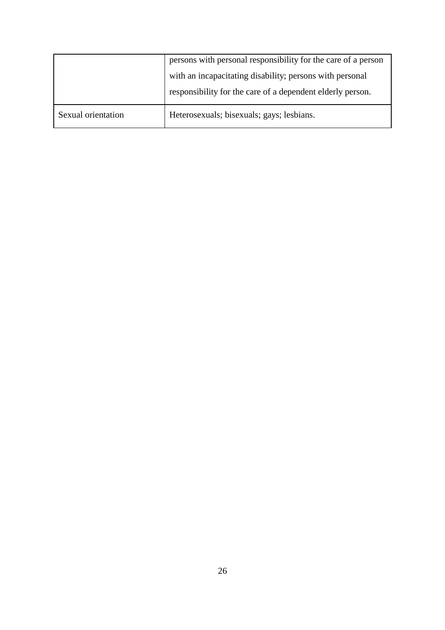|                    | persons with personal responsibility for the care of a person |
|--------------------|---------------------------------------------------------------|
|                    | with an incapacitating disability; persons with personal      |
|                    | responsibility for the care of a dependent elderly person.    |
| Sexual orientation | Heterosexuals; bisexuals; gays; lesbians.                     |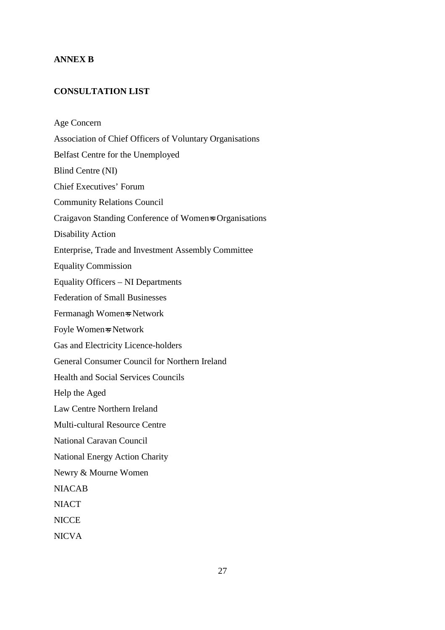#### **ANNEX B**

## **CONSULTATION LIST**

Age Concern Association of Chief Officers of Voluntary Organisations Belfast Centre for the Unemployed Blind Centre (NI) Chief Executives' Forum Community Relations Council Craigavon Standing Conference of Women=s Organisations Disability Action Enterprise, Trade and Investment Assembly Committee Equality Commission Equality Officers – NI Departments Federation of Small Businesses Fermanagh Women=s Network Foyle Women=s Network Gas and Electricity Licence-holders General Consumer Council for Northern Ireland Health and Social Services Councils Help the Aged Law Centre Northern Ireland Multi-cultural Resource Centre National Caravan Council National Energy Action Charity Newry & Mourne Women NIACAB **NIACT NICCE** NICVA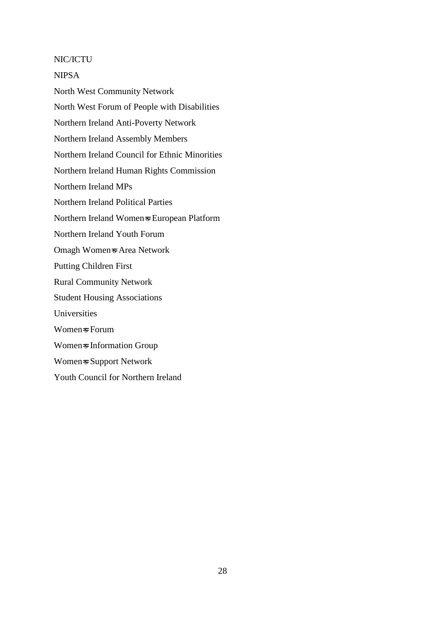#### NIC/ICTU

NIPSA

North West Community Network North West Forum of People with Disabilities Northern Ireland Anti-Poverty Network Northern Ireland Assembly Members Northern Ireland Council for Ethnic Minorities Northern Ireland Human Rights Commission Northern Ireland MPs Northern Ireland Political Parties Northern Ireland Women=s European Platform Northern Ireland Youth Forum Omagh Women=s Area Network Putting Children First Rural Community Network Student Housing Associations Universities Women=s Forum Women=s Information Group Women=s Support Network Youth Council for Northern Ireland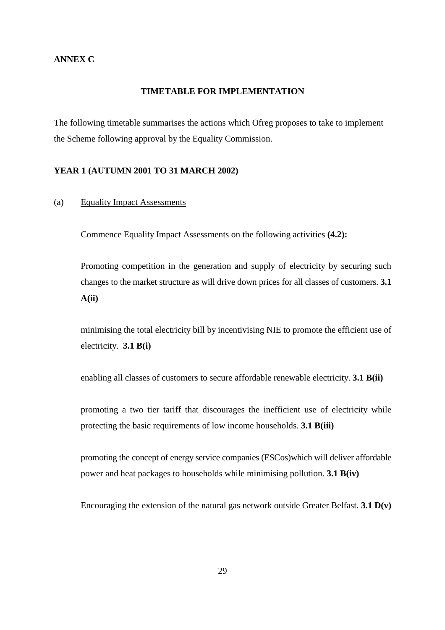#### **TIMETABLE FOR IMPLEMENTATION**

The following timetable summarises the actions which Ofreg proposes to take to implement the Scheme following approval by the Equality Commission.

#### **YEAR 1 (AUTUMN 2001 TO 31 MARCH 2002)**

#### (a) Equality Impact Assessments

Commence Equality Impact Assessments on the following activities **(4.2):**

Promoting competition in the generation and supply of electricity by securing such changes to the market structure as will drive down prices for all classes of customers. **3.1 A(ii)**

minimising the total electricity bill by incentivising NIE to promote the efficient use of electricity. **3.1 B(i)**

enabling all classes of customers to secure affordable renewable electricity. **3.1 B(ii)**

promoting a two tier tariff that discourages the inefficient use of electricity while protecting the basic requirements of low income households. **3.1 B(iii)**

promoting the concept of energy service companies (ESCos)which will deliver affordable power and heat packages to households while minimising pollution. **3.1 B(iv)**

Encouraging the extension of the natural gas network outside Greater Belfast. **3.1 D(v)**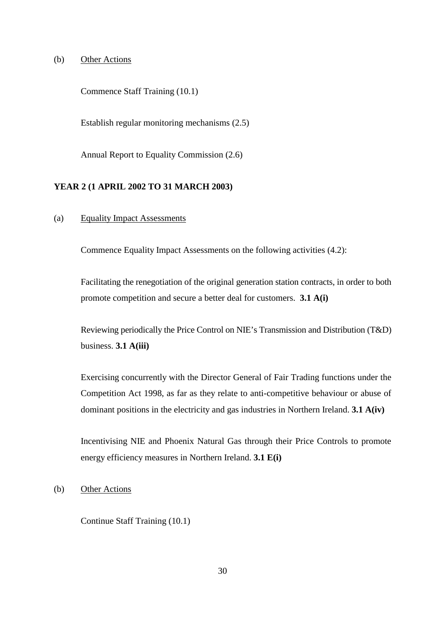#### (b) Other Actions

Commence Staff Training (10.1)

Establish regular monitoring mechanisms (2.5)

Annual Report to Equality Commission (2.6)

#### **YEAR 2 (1 APRIL 2002 TO 31 MARCH 2003)**

(a) Equality Impact Assessments

Commence Equality Impact Assessments on the following activities (4.2):

Facilitating the renegotiation of the original generation station contracts, in order to both promote competition and secure a better deal for customers. **3.1 A(i)**

Reviewing periodically the Price Control on NIE's Transmission and Distribution (T&D) business. **3.1 A(iii)**

Exercising concurrently with the Director General of Fair Trading functions under the Competition Act 1998, as far as they relate to anti-competitive behaviour or abuse of dominant positions in the electricity and gas industries in Northern Ireland. **3.1 A(iv)**

Incentivising NIE and Phoenix Natural Gas through their Price Controls to promote energy efficiency measures in Northern Ireland. **3.1 E(i)**

(b) Other Actions

Continue Staff Training (10.1)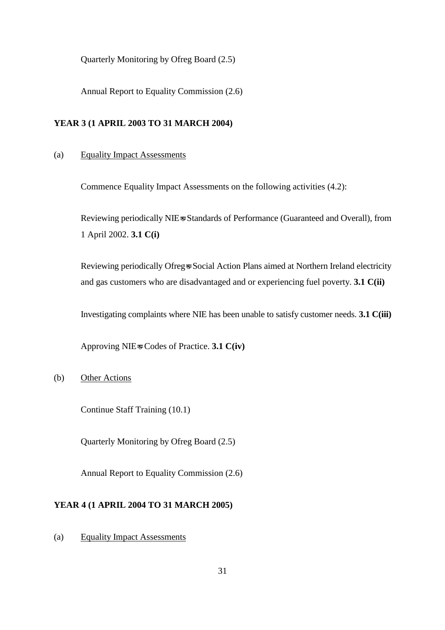Quarterly Monitoring by Ofreg Board (2.5)

Annual Report to Equality Commission (2.6)

#### **YEAR 3 (1 APRIL 2003 TO 31 MARCH 2004)**

#### (a) Equality Impact Assessments

Commence Equality Impact Assessments on the following activities (4.2):

Reviewing periodically NIE=s Standards of Performance (Guaranteed and Overall), from 1 April 2002. **3.1 C(i)**

Reviewing periodically Ofreg=s Social Action Plans aimed at Northern Ireland electricity and gas customers who are disadvantaged and or experiencing fuel poverty. **3.1 C(ii)**

Investigating complaints where NIE has been unable to satisfy customer needs. **3.1 C(iii)**

Approving NIE=s Codes of Practice. **3.1 C(iv)**

### (b) Other Actions

Continue Staff Training (10.1)

Quarterly Monitoring by Ofreg Board (2.5)

Annual Report to Equality Commission (2.6)

## **YEAR 4 (1 APRIL 2004 TO 31 MARCH 2005)**

(a) Equality Impact Assessments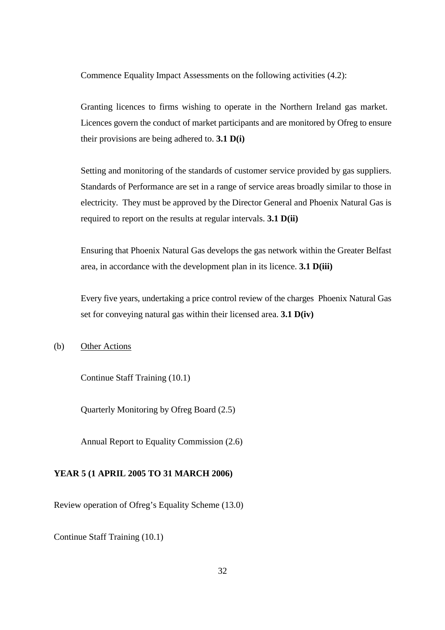Commence Equality Impact Assessments on the following activities (4.2):

Granting licences to firms wishing to operate in the Northern Ireland gas market. Licences govern the conduct of market participants and are monitored by Ofreg to ensure their provisions are being adhered to. **3.1 D(i)**

Setting and monitoring of the standards of customer service provided by gas suppliers. Standards of Performance are set in a range of service areas broadly similar to those in electricity. They must be approved by the Director General and Phoenix Natural Gas is required to report on the results at regular intervals. **3.1 D(ii)**

Ensuring that Phoenix Natural Gas develops the gas network within the Greater Belfast area, in accordance with the development plan in its licence. **3.1 D(iii)**

Every five years, undertaking a price control review of the charges Phoenix Natural Gas set for conveying natural gas within their licensed area. **3.1 D(iv)**

(b) Other Actions

Continue Staff Training (10.1)

Quarterly Monitoring by Ofreg Board (2.5)

Annual Report to Equality Commission (2.6)

#### **YEAR 5 (1 APRIL 2005 TO 31 MARCH 2006)**

Review operation of Ofreg's Equality Scheme (13.0)

Continue Staff Training (10.1)